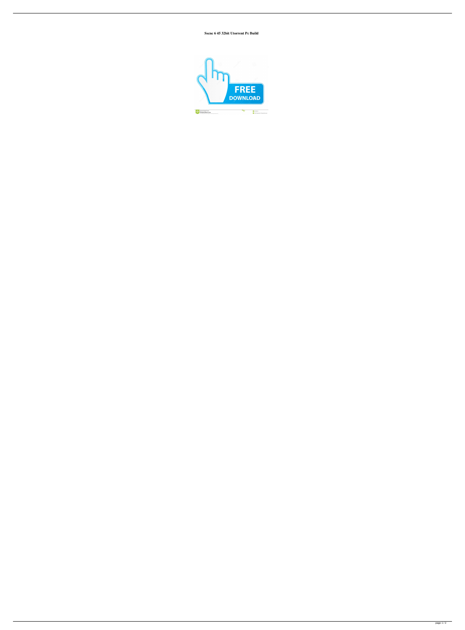**Sscnc 6 45 32bit Utorrent Pc Build**